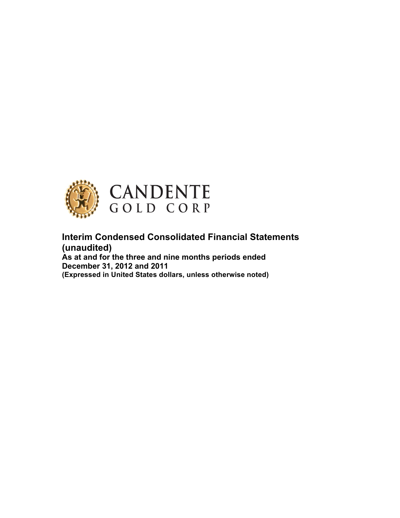

**Interim Condensed Consolidated Financial Statements (unaudited)**

**As at and for the three and nine months periods ended December 31, 2012 and 2011 (Expressed in United States dollars, unless otherwise noted)**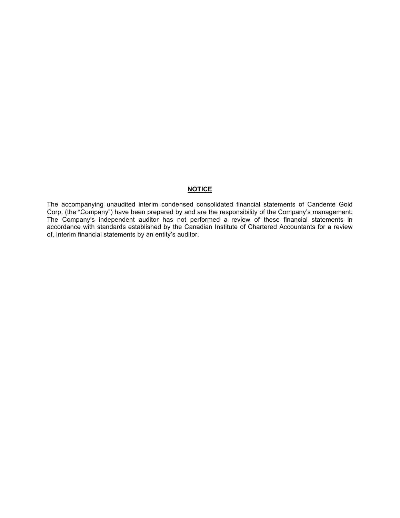#### **NOTICE**

The accompanying unaudited interim condensed consolidated financial statements of Candente Gold Corp. (the "Company") have been prepared by and are the responsibility of the Company's management. The Company's independent auditor has not performed a review of these financial statements in accordance with standards established by the Canadian Institute of Chartered Accountants for a review of, Interim financial statements by an entity's auditor.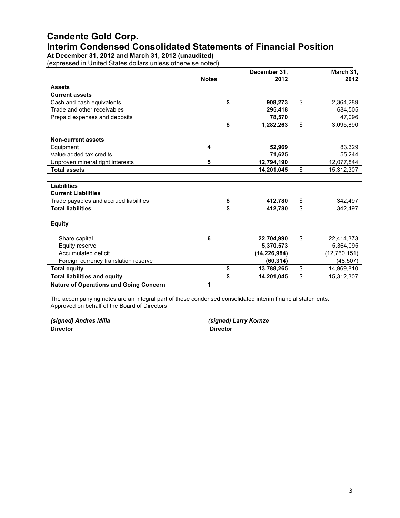# **Candente Gold Corp. Interim Condensed Consolidated Statements of Financial Position**

**At December 31, 2012 and March 31, 2012 (unaudited)**

(expressed in United States dollars unless otherwise noted)

|                                               |                         | December 31,     | March 31,        |
|-----------------------------------------------|-------------------------|------------------|------------------|
|                                               | <b>Notes</b>            | 2012             | 2012             |
| <b>Assets</b>                                 |                         |                  |                  |
| <b>Current assets</b>                         |                         |                  |                  |
| Cash and cash equivalents                     |                         | \$<br>908,273    | \$<br>2,364,289  |
| Trade and other receivables                   |                         | 295,418          | 684,505          |
| Prepaid expenses and deposits                 |                         | 78,570           | 47,096           |
|                                               |                         | \$<br>1,282,263  | \$<br>3,095,890  |
| <b>Non-current assets</b>                     |                         |                  |                  |
| Equipment                                     | $\overline{\mathbf{4}}$ | 52,969           | 83,329           |
| Value added tax credits                       |                         | 71,625           | 55,244           |
| Unproven mineral right interests              | 5                       | 12,794,190       | 12,077,844       |
| <b>Total assets</b>                           |                         | 14,201,045       | \$<br>15,312,307 |
|                                               |                         |                  |                  |
| <b>Liabilities</b>                            |                         |                  |                  |
| <b>Current Liabilities</b>                    |                         |                  |                  |
| Trade payables and accrued liabilities        |                         | \$<br>412,780    | \$<br>342,497    |
| <b>Total liabilities</b>                      |                         | \$<br>412,780    | \$<br>342,497    |
| <b>Equity</b>                                 |                         |                  |                  |
|                                               |                         |                  |                  |
| Share capital                                 | 6                       | 22,704,990       | \$<br>22,414,373 |
| Equity reserve                                |                         | 5,370,573        | 5,364,095        |
| Accumulated deficit                           |                         | (14, 226, 984)   | (12,760,151)     |
| Foreign currency translation reserve          |                         | (60, 314)        | (48, 507)        |
| <b>Total equity</b>                           |                         | \$<br>13,788,265 | \$<br>14,969,810 |
| <b>Total liabilities and equity</b>           |                         | \$<br>14,201,045 | \$<br>15,312,307 |
| <b>Nature of Operations and Going Concern</b> | 1                       |                  |                  |

The accompanying notes are an integral part of these condensed consolidated interim financial statements. Approved on behalf of the Board of Directors

*(signed) Andres Milla (signed) Larry Kornze* **Director Director**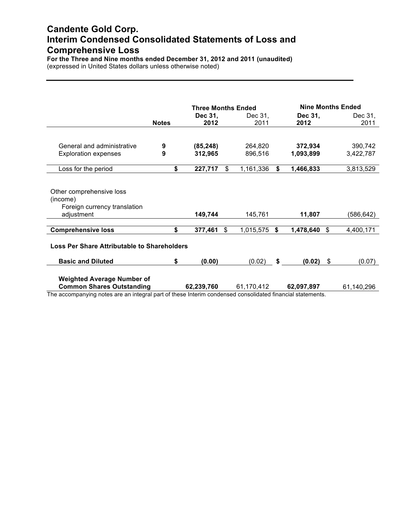## **Candente Gold Corp. Interim Condensed Consolidated Statements of Loss and Comprehensive Loss**

**For the Three and Nine months ended December 31, 2012 and 2011 (unaudited)** (expressed in United States dollars unless otherwise noted)

|                                                                                                           |              | <b>Three Months Ended</b> |     |            |    | <b>Nine Months Ended</b> |    |            |  |  |
|-----------------------------------------------------------------------------------------------------------|--------------|---------------------------|-----|------------|----|--------------------------|----|------------|--|--|
|                                                                                                           |              | Dec 31,                   |     | Dec 31,    |    | Dec 31,                  |    | Dec 31,    |  |  |
|                                                                                                           | <b>Notes</b> | 2012                      |     | 2011       |    | 2012                     |    | 2011       |  |  |
|                                                                                                           |              |                           |     |            |    |                          |    |            |  |  |
| General and administrative                                                                                | 9            | (85, 248)                 |     | 264,820    |    | 372,934                  |    | 390,742    |  |  |
| <b>Exploration expenses</b>                                                                               | 9            | 312,965                   |     | 896,516    |    | 1,093,899                |    | 3,422,787  |  |  |
| Loss for the period                                                                                       | \$           | 227,717                   | \$  | 1,161,336  | \$ | 1,466,833                |    | 3,813,529  |  |  |
|                                                                                                           |              |                           |     |            |    |                          |    |            |  |  |
| Other comprehensive loss                                                                                  |              |                           |     |            |    |                          |    |            |  |  |
| (income)                                                                                                  |              |                           |     |            |    |                          |    |            |  |  |
| Foreign currency translation                                                                              |              |                           |     |            |    |                          |    |            |  |  |
| adjustment                                                                                                |              | 149,744                   |     | 145,761    |    | 11,807                   |    | (586,642)  |  |  |
| <b>Comprehensive loss</b>                                                                                 | \$           | 377,461                   | \$. | 1,015,575  | Ŝ. | 1,478,640                | \$ | 4,400,171  |  |  |
|                                                                                                           |              |                           |     |            |    |                          |    |            |  |  |
| <b>Loss Per Share Attributable to Shareholders</b>                                                        |              |                           |     |            |    |                          |    |            |  |  |
| <b>Basic and Diluted</b>                                                                                  | \$           | (0.00)                    |     | (0.02)     | \$ | (0.02)                   | \$ | (0.07)     |  |  |
|                                                                                                           |              |                           |     |            |    |                          |    |            |  |  |
| <b>Weighted Average Number of</b>                                                                         |              |                           |     |            |    |                          |    |            |  |  |
| <b>Common Shares Outstanding</b>                                                                          |              | 62,239,760                |     | 61,170,412 |    | 62,097,897               |    | 61,140,296 |  |  |
| The accompanying notes are an integral part of these Interim condensed consolidated financial statements. |              |                           |     |            |    |                          |    |            |  |  |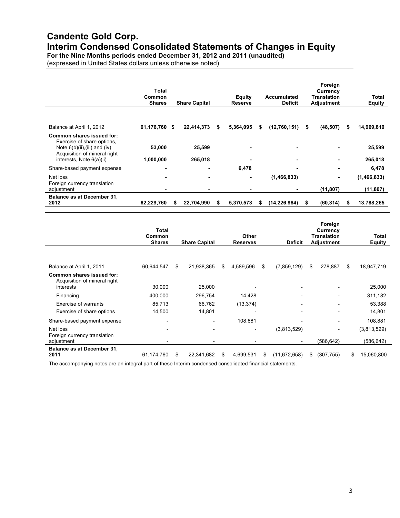# **Candente Gold Corp.**

**Interim Condensed Consolidated Statements of Changes in Equity**

**For the Nine Months periods ended December 31, 2012 and 2011 (unaudited)**

(expressed in United States dollars unless otherwise noted)

|                                                                                                                             | Total<br>Common<br><b>Shares</b> |   | <b>Share Capital</b> |   | <b>Equity</b><br><b>Reserve</b> |    | <b>Accumulated</b><br><b>Deficit</b> |   | Foreign<br>Currency<br><b>Translation</b><br><b>Adjustment</b> |    | Total<br><b>Equity</b> |
|-----------------------------------------------------------------------------------------------------------------------------|----------------------------------|---|----------------------|---|---------------------------------|----|--------------------------------------|---|----------------------------------------------------------------|----|------------------------|
|                                                                                                                             |                                  |   |                      |   |                                 |    |                                      |   |                                                                |    |                        |
| Balance at April 1, 2012                                                                                                    | 61,176,760 \$                    |   | 22,414,373           | S | 5,364,095                       | S  | (12,760,151)                         | 5 | (48, 507)                                                      | \$ | 14,969,810             |
| Common shares issued for:<br>Exercise of share options,<br>Note $6(b)(ii),(iii)$ and $(iv)$<br>Acquisition of mineral right | 53,000                           |   | 25,599               |   |                                 |    |                                      |   |                                                                |    | 25,599                 |
| interests, Note 6(a)(ii)                                                                                                    | 1,000,000                        |   | 265,018              |   |                                 |    |                                      |   |                                                                |    | 265,018                |
| Share-based payment expense                                                                                                 |                                  |   |                      |   | 6,478                           |    |                                      |   | ۰.                                                             |    | 6,478                  |
| Net loss<br>Foreign currency translation                                                                                    |                                  |   |                      |   |                                 |    | (1, 466, 833)                        |   | ۰                                                              |    | (1,466,833)            |
| adjustment                                                                                                                  |                                  |   |                      |   |                                 |    |                                      |   | (11, 807)                                                      |    | (11, 807)              |
| <b>Balance as at December 31,</b><br>2012                                                                                   | 62,229,760                       | S | 22,704,990           | S | 5,370,573                       | 55 | (14, 226, 984)                       | S | (60, 314)                                                      | S  | 13,788,265             |

|                                                                        | <b>Total</b><br>Common<br><b>Shares</b> | <b>Share Capital</b>     | <b>Other</b><br><b>Reserves</b>                      |    | <b>Deficit</b>           | Foreign<br>Currency<br><b>Translation</b><br>Adjustment |     | <b>Total</b><br>Equity    |
|------------------------------------------------------------------------|-----------------------------------------|--------------------------|------------------------------------------------------|----|--------------------------|---------------------------------------------------------|-----|---------------------------|
| Balance at April 1, 2011                                               | 60,644,547                              | \$<br>21,938,365         | \$<br>4,589,596                                      | S  | (7,859,129)              | \$<br>278,887                                           | \$. | 18,947,719                |
| Common shares issued for:<br>Acquisition of mineral right<br>interests | 30,000                                  | 25,000                   |                                                      |    |                          |                                                         |     | 25,000                    |
| Financing                                                              | 400,000                                 | 296,754                  | 14,428                                               |    | $\overline{\phantom{0}}$ | $\overline{\phantom{0}}$                                |     | 311,182                   |
| Exercise of warrants                                                   | 85,713                                  | 66,762                   | (13, 374)                                            |    |                          |                                                         |     | 53,388                    |
| Exercise of share options                                              | 14,500                                  | 14,801                   |                                                      |    |                          |                                                         |     | 14,801                    |
| Share-based payment expense                                            | $\overline{\phantom{0}}$                |                          | 108,881                                              |    |                          |                                                         |     | 108,881                   |
| Net loss<br>Foreign currency translation<br>adjustment                 | $\overline{\phantom{0}}$                | $\overline{\phantom{0}}$ | $\overline{\phantom{0}}$<br>$\overline{\phantom{0}}$ |    | (3,813,529)              | (586, 642)                                              |     | (3,813,529)<br>(586, 642) |
| Balance as at December 31,<br>2011                                     | 61,174,760                              | \$<br>22,341,682         | \$<br>4,699,531                                      | \$ | (11, 672, 658)           | \$<br>(307, 755)                                        | \$  | 15,060,800                |

The accompanying notes are an integral part of these Interim condensed consolidated financial statements.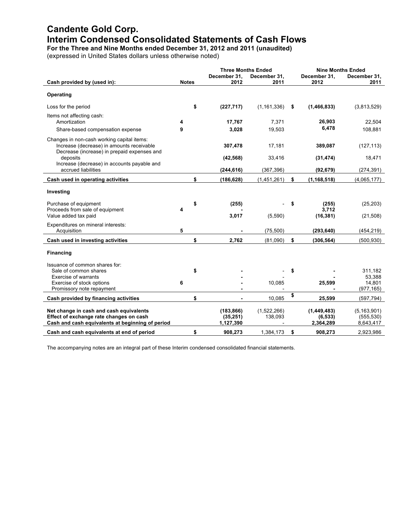# **Candente Gold Corp. Interim Condensed Consolidated Statements of Cash Flows**

**For the Three and Nine Months ended December 31, 2012 and 2011 (unaudited)**

(expressed in United States dollars unless otherwise noted)

|                                                                                                                                        | <b>Three Months Ended</b> |                                      | <b>Nine Months Ended</b> |    |                                      |                                          |
|----------------------------------------------------------------------------------------------------------------------------------------|---------------------------|--------------------------------------|--------------------------|----|--------------------------------------|------------------------------------------|
|                                                                                                                                        |                           | December 31,<br>2012                 | December 31,             |    | December 31,<br>2012                 | December 31,                             |
| Cash provided by (used in):                                                                                                            | <b>Notes</b>              |                                      | 2011                     |    |                                      | 2011                                     |
| Operating                                                                                                                              |                           |                                      |                          |    |                                      |                                          |
| Loss for the period                                                                                                                    | \$                        | (227, 717)                           | (1, 161, 336)            | S  | (1, 466, 833)                        | (3,813,529)                              |
| Items not affecting cash:                                                                                                              |                           |                                      |                          |    |                                      |                                          |
| Amortization                                                                                                                           | 4                         | 17,767                               | 7,371                    |    | 26,903                               | 22,504                                   |
| Share-based compensation expense                                                                                                       | 9                         | 3,028                                | 19,503                   |    | 6,478                                | 108,881                                  |
| Changes in non-cash working capital items:<br>Increase (decrease) in amounts receivable<br>Decrease (increase) in prepaid expenses and |                           | 307,478                              | 17,181                   |    | 389,087                              | (127, 113)                               |
| deposits<br>Increase (decrease) in accounts payable and                                                                                |                           | (42, 568)                            | 33,416                   |    | (31, 474)                            | 18,471                                   |
| accrued liabilities                                                                                                                    |                           | (244, 616)                           | (367, 396)               |    | (92, 679)                            | (274, 391)                               |
| Cash used in operating activities                                                                                                      | \$                        | (186, 628)                           | (1,451,261)              | \$ | (1, 168, 518)                        | (4,065,177)                              |
| Investing                                                                                                                              |                           |                                      |                          |    |                                      |                                          |
| Purchase of equipment<br>Proceeds from sale of equipment                                                                               | \$                        | (255)                                |                          | S  | (255)<br>3,712                       | (25, 203)                                |
| Value added tax paid                                                                                                                   |                           | 3,017                                | (5,590)                  |    | (16, 381)                            | (21, 508)                                |
| Expenditures on mineral interests:                                                                                                     | 5                         |                                      | (75, 500)                |    |                                      |                                          |
| Acquisition                                                                                                                            |                           |                                      |                          |    | (293, 640)                           | (454, 219)                               |
| Cash used in investing activities                                                                                                      | \$                        | 2.762                                | (81.090)                 | \$ | (306, 564)                           | (500, 930)                               |
| <b>Financing</b>                                                                                                                       |                           |                                      |                          |    |                                      |                                          |
| Issuance of common shares for:                                                                                                         |                           |                                      |                          |    |                                      |                                          |
| Sale of common shares                                                                                                                  | \$                        |                                      |                          | \$ |                                      | 311,182                                  |
| <b>Exercise of warrants</b><br>Exercise of stock options                                                                               | 6                         |                                      | 10,085                   |    | 25,599                               | 53,388<br>14,801                         |
| Promissory note repayment                                                                                                              |                           |                                      |                          |    |                                      | (977, 165)                               |
| Cash provided by financing activities                                                                                                  | \$                        |                                      | 10,085                   | \$ | 25,599                               | (597, 794)                               |
| Net change in cash and cash equivalents<br>Effect of exchange rate changes on cash<br>Cash and cash equivalents at beginning of period |                           | (183, 866)<br>(35, 251)<br>1,127,390 | (1,522,266)<br>138,093   |    | (1,449,483)<br>(6, 533)<br>2,364,289 | (5, 163, 901)<br>(555, 530)<br>8,643,417 |
| Cash and cash equivalents at end of period                                                                                             | \$                        | 908,273                              | 1,384,173                | \$ | 908,273                              | 2,923,986                                |

The accompanying notes are an integral part of these Interim condensed consolidated financial statements.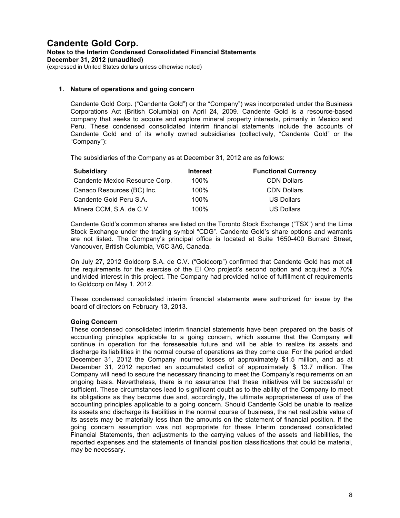#### **1. Nature of operations and going concern**

Candente Gold Corp. ("Candente Gold") or the "Company") was incorporated under the Business Corporations Act (British Columbia) on April 24, 2009. Candente Gold is a resource-based company that seeks to acquire and explore mineral property interests, primarily in Mexico and Peru. These condensed consolidated interim financial statements include the accounts of Candente Gold and of its wholly owned subsidiaries (collectively, "Candente Gold" or the "Company"):

The subsidiaries of the Company as at December 31, 2012 are as follows:

| <b>Subsidiary</b>              | <b>Interest</b> | <b>Functional Currency</b> |
|--------------------------------|-----------------|----------------------------|
| Candente Mexico Resource Corp. | 100%            | <b>CDN Dollars</b>         |
| Canaco Resources (BC) Inc.     | 100%            | <b>CDN Dollars</b>         |
| Candente Gold Peru S.A.        | 100%            | <b>US Dollars</b>          |
| Minera CCM, S.A. de C.V.       | 100%            | <b>US Dollars</b>          |

Candente Gold's common shares are listed on the Toronto Stock Exchange ("TSX") and the Lima Stock Exchange under the trading symbol "CDG". Candente Gold's share options and warrants are not listed. The Company's principal office is located at Suite 1650-400 Burrard Street, Vancouver, British Columbia, V6C 3A6, Canada.

On July 27, 2012 Goldcorp S.A. de C.V. ("Goldcorp") confirmed that Candente Gold has met all the requirements for the exercise of the El Oro project's second option and acquired a 70% undivided interest in this project. The Company had provided notice of fulfillment of requirements to Goldcorp on May 1, 2012.

These condensed consolidated interim financial statements were authorized for issue by the board of directors on February 13, 2013.

#### **Going Concern**

These condensed consolidated interim financial statements have been prepared on the basis of accounting principles applicable to a going concern, which assume that the Company will continue in operation for the foreseeable future and will be able to realize its assets and discharge its liabilities in the normal course of operations as they come due. For the period ended December 31, 2012 the Company incurred losses of approximately \$1.5 million, and as at December 31, 2012 reported an accumulated deficit of approximately \$ 13.7 million. The Company will need to secure the necessary financing to meet the Company's requirements on an ongoing basis. Nevertheless, there is no assurance that these initiatives will be successful or sufficient. These circumstances lead to significant doubt as to the ability of the Company to meet its obligations as they become due and, accordingly, the ultimate appropriateness of use of the accounting principles applicable to a going concern. Should Candente Gold be unable to realize its assets and discharge its liabilities in the normal course of business, the net realizable value of its assets may be materially less than the amounts on the statement of financial position. If the going concern assumption was not appropriate for these Interim condensed consolidated Financial Statements, then adjustments to the carrying values of the assets and liabilities, the reported expenses and the statements of financial position classifications that could be material, may be necessary.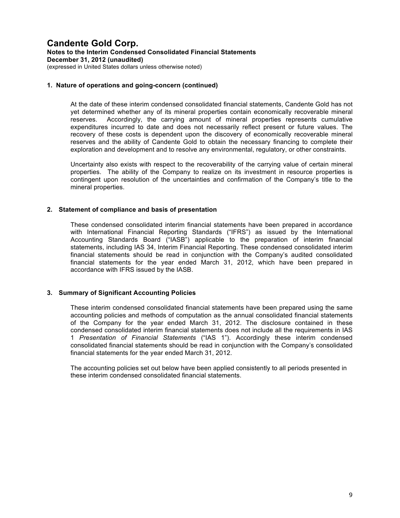#### **1. Nature of operations and going-concern (continued)**

At the date of these interim condensed consolidated financial statements, Candente Gold has not yet determined whether any of its mineral properties contain economically recoverable mineral reserves. Accordingly, the carrying amount of mineral properties represents cumulative expenditures incurred to date and does not necessarily reflect present or future values. The recovery of these costs is dependent upon the discovery of economically recoverable mineral reserves and the ability of Candente Gold to obtain the necessary financing to complete their exploration and development and to resolve any environmental, regulatory, or other constraints.

Uncertainty also exists with respect to the recoverability of the carrying value of certain mineral properties. The ability of the Company to realize on its investment in resource properties is contingent upon resolution of the uncertainties and confirmation of the Company's title to the mineral properties.

#### **2. Statement of compliance and basis of presentation**

These condensed consolidated interim financial statements have been prepared in accordance with International Financial Reporting Standards ("IFRS") as issued by the International Accounting Standards Board ("IASB") applicable to the preparation of interim financial statements, including IAS 34, Interim Financial Reporting. These condensed consolidated interim financial statements should be read in conjunction with the Company's audited consolidated financial statements for the year ended March 31, 2012, which have been prepared in accordance with IFRS issued by the IASB.

#### **3. Summary of Significant Accounting Policies**

These interim condensed consolidated financial statements have been prepared using the same accounting policies and methods of computation as the annual consolidated financial statements of the Company for the year ended March 31, 2012. The disclosure contained in these condensed consolidated interim financial statements does not include all the requirements in IAS 1 *Presentation of Financial Statements* ("IAS 1"). Accordingly these interim condensed consolidated financial statements should be read in conjunction with the Company's consolidated financial statements for the year ended March 31, 2012.

The accounting policies set out below have been applied consistently to all periods presented in these interim condensed consolidated financial statements.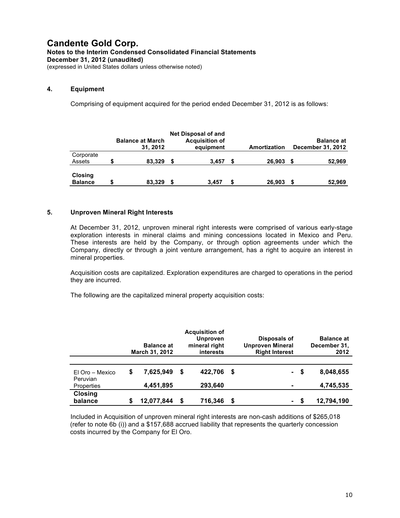#### **4. Equipment**

Comprising of equipment acquired for the period ended December 31, 2012 is as follows:

|                           | <b>Balance at March</b><br>31.2012 | <b>Net Disposal of and</b><br><b>Acquisition of</b><br>equipment |   | Amortization | <b>Balance at</b><br>December 31, 2012 |
|---------------------------|------------------------------------|------------------------------------------------------------------|---|--------------|----------------------------------------|
| Corporate<br>Assets       | 83.329                             | 3.457                                                            | S | 26.903       | 52,969<br>S                            |
| Closing<br><b>Balance</b> | 83,329                             | 3.457                                                            | S | 26.903       | 52,969<br>S                            |

#### **5. Unproven Mineral Right Interests**

At December 31, 2012, unproven mineral right interests were comprised of various early-stage exploration interests in mineral claims and mining concessions located in Mexico and Peru. These interests are held by the Company, or through option agreements under which the Company, directly or through a joint venture arrangement, has a right to acquire an interest in mineral properties.

Acquisition costs are capitalized. Exploration expenditures are charged to operations in the period they are incurred.

The following are the capitalized mineral property acquisition costs:

|                             |    | <b>Balance at</b><br><b>March 31, 2012</b> | <b>Acquisition of</b><br><b>Unproven</b><br>mineral right<br>interests |         |    | Disposals of<br><b>Unproven Mineral</b><br><b>Right Interest</b> |      | <b>Balance at</b><br>December 31,<br>2012 |
|-----------------------------|----|--------------------------------------------|------------------------------------------------------------------------|---------|----|------------------------------------------------------------------|------|-------------------------------------------|
| El Oro - Mexico<br>Peruvian | \$ | 7,625,949                                  | S                                                                      | 422.706 | -S |                                                                  | - \$ | 8,048,655                                 |
| Properties                  |    | 4,451,895                                  |                                                                        | 293,640 |    |                                                                  |      | 4,745,535                                 |
| <b>Closing</b><br>balance   | S  | 12,077,844                                 | S                                                                      | 716,346 | S  |                                                                  | - \$ | 12,794,190                                |

Included in Acquisition of unproven mineral right interests are non-cash additions of \$265,018 (refer to note 6b (i)) and a \$157,688 accrued liability that represents the quarterly concession costs incurred by the Company for El Oro.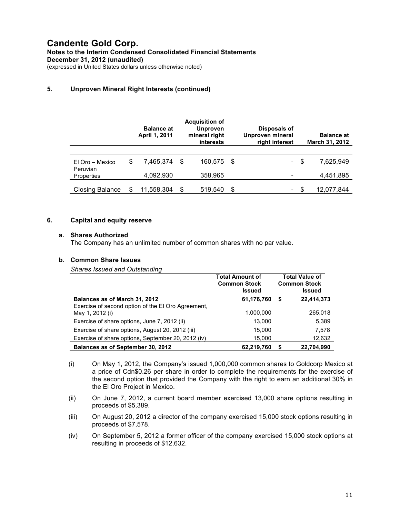#### **5. Unproven Mineral Right Interests (continued)**

|                             | <b>Balance at</b><br><b>April 1, 2011</b> |      | <b>Acquisition of</b><br><b>Unproven</b><br>mineral right<br><i>interests</i> |      | Disposals of<br>Unproven mineral<br>right interest |      | <b>Balance at</b><br><b>March 31, 2012</b> |
|-----------------------------|-------------------------------------------|------|-------------------------------------------------------------------------------|------|----------------------------------------------------|------|--------------------------------------------|
|                             |                                           |      |                                                                               |      |                                                    |      |                                            |
| El Oro – Mexico<br>Peruvian | \$<br>7,465,374                           | - \$ | 160.575                                                                       | - \$ | $\sim$                                             | - \$ | 7,625,949                                  |
| Properties                  | 4,092,930                                 |      | 358,965                                                                       |      |                                                    |      | 4,451,895                                  |
| <b>Closing Balance</b>      | 11,558,304                                | \$   | 519.540                                                                       | S    | $\overline{\phantom{a}}$                           | - 35 | 12,077,844                                 |

#### **6. Capital and equity reserve**

#### **a. Shares Authorized**

The Company has an unlimited number of common shares with no par value.

#### **b. Common Share Issues**

*Shares Issued and Outstanding*

|                                                                       | <b>Total Amount of</b><br><b>Common Stock</b><br><b>Issued</b> |   | <b>Total Value of</b><br><b>Common Stock</b><br><b>Issued</b> |
|-----------------------------------------------------------------------|----------------------------------------------------------------|---|---------------------------------------------------------------|
| Balances as of March 31, 2012                                         | 61,176,760                                                     | S | 22,414,373                                                    |
| Exercise of second option of the EI Oro Agreement,<br>May 1, 2012 (i) | 1,000,000                                                      |   | 265,018                                                       |
| Exercise of share options, June 7, 2012 (ii)                          | 13,000                                                         |   | 5,389                                                         |
| Exercise of share options, August 20, 2012 (iii)                      | 15,000                                                         |   | 7,578                                                         |
| Exercise of share options, September 20, 2012 (iv)                    | 15,000                                                         |   | 12,632                                                        |
| Balances as of September 30, 2012                                     | 62,219,760                                                     |   | 22,704,990                                                    |

- (i) On May 1, 2012, the Company's issued 1,000,000 common shares to Goldcorp Mexico at a price of Cdn\$0.26 per share in order to complete the requirements for the exercise of the second option that provided the Company with the right to earn an additional 30% in the El Oro Project in Mexico.
- (ii) On June 7, 2012, a current board member exercised 13,000 share options resulting in proceeds of \$5,389.
- (iii) On August 20, 2012 a director of the company exercised 15,000 stock options resulting in proceeds of \$7,578.
- (iv) On September 5, 2012 a former officer of the company exercised 15,000 stock options at resulting in proceeds of \$12,632.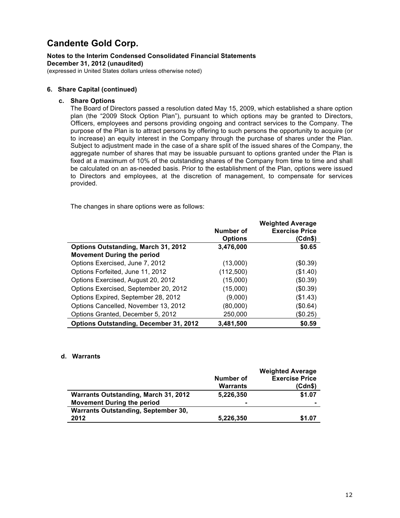# **Candente Gold Corp.**

### **Notes to the Interim Condensed Consolidated Financial Statements December 31, 2012 (unaudited)**

(expressed in United States dollars unless otherwise noted)

#### **6. Share Capital (continued)**

#### **c. Share Options**

The Board of Directors passed a resolution dated May 15, 2009, which established a share option plan (the "2009 Stock Option Plan"), pursuant to which options may be granted to Directors, Officers, employees and persons providing ongoing and contract services to the Company. The purpose of the Plan is to attract persons by offering to such persons the opportunity to acquire (or to increase) an equity interest in the Company through the purchase of shares under the Plan. Subject to adjustment made in the case of a share split of the issued shares of the Company, the aggregate number of shares that may be issuable pursuant to options granted under the Plan is fixed at a maximum of 10% of the outstanding shares of the Company from time to time and shall be calculated on an as-needed basis. Prior to the establishment of the Plan, options were issued to Directors and employees, at the discretion of management, to compensate for services provided.

The changes in share options were as follows:

|                                               | Number of<br><b>Options</b> | <b>Weighted Average</b><br><b>Exercise Price</b><br>(Cdn\$) |
|-----------------------------------------------|-----------------------------|-------------------------------------------------------------|
| <b>Options Outstanding, March 31, 2012</b>    | 3,476,000                   | \$0.65                                                      |
| <b>Movement During the period</b>             |                             |                                                             |
| Options Exercised, June 7, 2012               | (13,000)                    | (\$0.39)                                                    |
| Options Forfeited, June 11, 2012              | (112,500)                   | $(\$1.40)$                                                  |
| Options Exercised, August 20, 2012            | (15,000)                    | (\$0.39)                                                    |
| Options Exercised, September 20, 2012         | (15,000)                    | $(\$0.39)$                                                  |
| Options Expired, September 28, 2012           | (9,000)                     | $(\$1.43)$                                                  |
| Options Cancelled, November 13, 2012          | (80,000)                    | (\$0.64)                                                    |
| Options Granted, December 5, 2012             | 250,000                     | (\$0.25)                                                    |
| <b>Options Outstanding, December 31, 2012</b> | 3,481,500                   | \$0.59                                                      |

#### **d. Warrants**

|                                            |                | <b>Weighted Average</b> |
|--------------------------------------------|----------------|-------------------------|
|                                            | Number of      | <b>Exercise Price</b>   |
|                                            | Warrants       | (Cdn\$)                 |
| Warrants Outstanding, March 31, 2012       | 5,226,350      | \$1.07                  |
| <b>Movement During the period</b>          | $\blacksquare$ |                         |
| <b>Warrants Outstanding, September 30,</b> |                |                         |
| 2012                                       | 5,226,350      | \$1.07                  |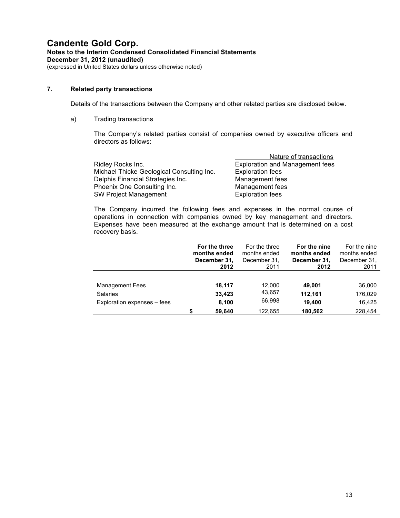#### **7. Related party transactions**

Details of the transactions between the Company and other related parties are disclosed below.

a) Trading transactions

The Company's related parties consist of companies owned by executive officers and directors as follows:

|                                           | Nature of transactions                 |
|-------------------------------------------|----------------------------------------|
| Ridley Rocks Inc.                         | <b>Exploration and Management fees</b> |
| Michael Thicke Geological Consulting Inc. | <b>Exploration fees</b>                |
| Delphis Financial Strategies Inc.         | Management fees                        |
| Phoenix One Consulting Inc.               | Management fees                        |
| SW Project Management                     | <b>Exploration fees</b>                |

The Company incurred the following fees and expenses in the normal course of operations in connection with companies owned by key management and directors. Expenses have been measured at the exchange amount that is determined on a cost recovery basis.

|                             | For the three<br>months ended<br>December 31,<br>2012 | For the three<br>months ended<br>December 31,<br>2011 | For the nine<br>months ended<br>December 31,<br>2012 | For the nine<br>months ended<br>December 31.<br>2011 |
|-----------------------------|-------------------------------------------------------|-------------------------------------------------------|------------------------------------------------------|------------------------------------------------------|
|                             |                                                       |                                                       |                                                      |                                                      |
| <b>Management Fees</b>      | 18,117                                                | 12,000                                                | 49.001                                               | 36,000                                               |
| <b>Salaries</b>             | 33,423                                                | 43,657                                                | 112,161                                              | 176,029                                              |
| Exploration expenses – fees | 8,100                                                 | 66,998                                                | 19,400                                               | 16,425                                               |
|                             | 59.640                                                | 122.655                                               | 180.562                                              | 228.454                                              |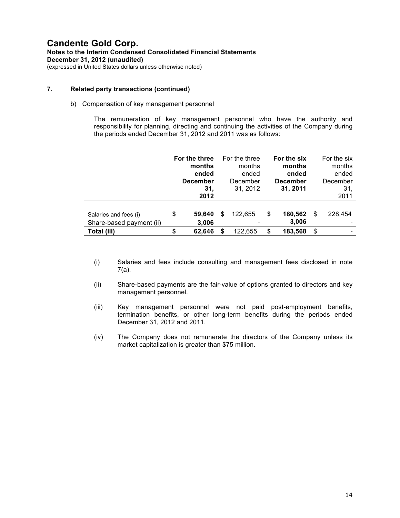#### **7. Related party transactions (continued)**

#### b) Compensation of key management personnel

The remuneration of key management personnel who have the authority and responsibility for planning, directing and continuing the activities of the Company during the periods ended December 31, 2012 and 2011 was as follows:

|                                                   |    | For the three<br>months<br>ended<br><b>December</b><br>31.<br>2012 | For the three<br>months<br>ended<br>December<br>31, 2012 |    | For the six<br>months<br>ended<br><b>December</b><br>31, 2011 |    | For the six<br>months<br>ended<br>December<br>31,<br>2011 |
|---------------------------------------------------|----|--------------------------------------------------------------------|----------------------------------------------------------|----|---------------------------------------------------------------|----|-----------------------------------------------------------|
| Salaries and fees (i)<br>Share-based payment (ii) | \$ | 59,640<br>3,006                                                    | \$<br>122,655                                            | \$ | 180,562<br>3,006                                              | \$ | 228,454                                                   |
| Total (iii)                                       | S  | 62.646                                                             | \$<br>122,655                                            | S  | 183,568                                                       | S  |                                                           |

- (i) Salaries and fees include consulting and management fees disclosed in note 7(a).
- (ii) Share-based payments are the fair-value of options granted to directors and key management personnel.
- (iii) Key management personnel were not paid post-employment benefits, termination benefits, or other long-term benefits during the periods ended December 31, 2012 and 2011.
- (iv) The Company does not remunerate the directors of the Company unless its market capitalization is greater than \$75 million.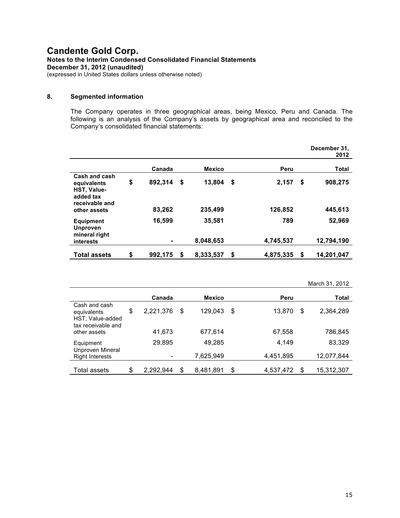### **8. Segmented information**

The Company operates in three geographical areas, being Mexico, Peru and Canada. The following is an analysis of the Company's assets by geographical area and reconciled to the Company's consolidated financial statements:

|                                                                                   |               |    |               |                 |    | December 31,<br>2012 |
|-----------------------------------------------------------------------------------|---------------|----|---------------|-----------------|----|----------------------|
|                                                                                   | Canada        |    | <b>Mexico</b> | Peru            |    | Total                |
| Cash and cash<br>equivalents<br><b>HST, Value-</b><br>added tax<br>receivable and | \$<br>892,314 | \$ | 13,804        | \$<br>2,157     | \$ | 908,275              |
| other assets                                                                      | 83,262        |    | 235,499       | 126,852         |    | 445,613              |
| <b>Equipment</b><br><b>Unproven</b><br>mineral right                              | 16,599        |    | 35,581        | 789             |    | 52,969               |
| interests                                                                         |               |    | 8,048,653     | 4,745,537       |    | 12,794,190           |
| <b>Total assets</b>                                                               | \$<br>992.175 | S  | 8,333,537     | \$<br>4,875,335 | S  | 14.201.047           |

|                                                                        |                 |   |               |                 |    | March 31, 2012 |
|------------------------------------------------------------------------|-----------------|---|---------------|-----------------|----|----------------|
|                                                                        | Canada          |   | <b>Mexico</b> | Peru            |    | Total          |
| Cash and cash<br>equivalents<br>HST, Value-added<br>tax receivable and | \$<br>2,221,376 | S | 129.043       | \$<br>13,870    | \$ | 2,364,289      |
| other assets                                                           | 41,673          |   | 677,614       | 67,558          |    | 786,845        |
| Equipment<br>Unproven Mineral                                          | 29,895          |   | 49,285        | 4,149           |    | 83,329         |
| <b>Right Interests</b>                                                 |                 |   | 7,625,949     | 4,451,895       |    | 12,077,844     |
| Total assets                                                           | \$<br>2.292.944 | S | 8,481,891     | \$<br>4,537,472 | S  | 15,312,307     |